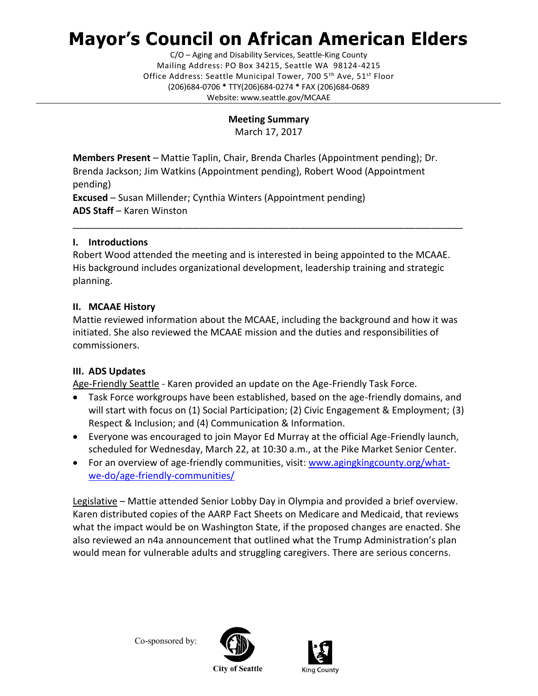# **Mayor's Council on African American Elders**

C/O – Aging and Disability Services, Seattle-King County Mailing Address: PO Box 34215, Seattle WA 98124-4215 Office Address: Seattle Municipal Tower, 700 5<sup>th</sup> Ave, 51<sup>st</sup> Floor (206)684-0706 **\*** TTY(206)684-0274 **\*** FAX (206)684-0689 Website: www.seattle.gov/MCAAE

#### **Meeting Summary**

March 17, 2017

**Members Present** – Mattie Taplin, Chair, Brenda Charles (Appointment pending); Dr. Brenda Jackson; Jim Watkins (Appointment pending), Robert Wood (Appointment pending)

**Excused** – Susan Millender; Cynthia Winters (Appointment pending) **ADS Staff** – Karen Winston

#### **I. Introductions**

Robert Wood attended the meeting and is interested in being appointed to the MCAAE. His background includes organizational development, leadership training and strategic planning.

\_\_\_\_\_\_\_\_\_\_\_\_\_\_\_\_\_\_\_\_\_\_\_\_\_\_\_\_\_\_\_\_\_\_\_\_\_\_\_\_\_\_\_\_\_\_\_\_\_\_\_\_\_\_\_\_\_\_\_\_\_\_\_\_\_\_\_\_\_\_\_\_\_\_

# **II. MCAAE History**

Mattie reviewed information about the MCAAE, including the background and how it was initiated. She also reviewed the MCAAE mission and the duties and responsibilities of commissioners.

# **III. ADS Updates**

Age-Friendly Seattle - Karen provided an update on the Age-Friendly Task Force.

- Task Force workgroups have been established, based on the age-friendly domains, and will start with focus on (1) Social Participation; (2) Civic Engagement & Employment; (3) Respect & Inclusion; and (4) Communication & Information.
- Everyone was encouraged to join Mayor Ed Murray at the official Age-Friendly launch, scheduled for Wednesday, March 22, at 10:30 a.m., at the Pike Market Senior Center.
- For an overview of age-friendly communities, visit: [www.agingkingcounty.org/what](http://www.agingkingcounty.org/what-we-do/age-friendly-communities/)[we-do/age-friendly-communities/](http://www.agingkingcounty.org/what-we-do/age-friendly-communities/)

Legislative – Mattie attended Senior Lobby Day in Olympia and provided a brief overview. Karen distributed copies of the AARP Fact Sheets on Medicare and Medicaid, that reviews what the impact would be on Washington State, if the proposed changes are enacted. She also reviewed an n4a announcement that outlined what the Trump Administration's plan would mean for vulnerable adults and struggling caregivers. There are serious concerns.

Co-sponsored by: